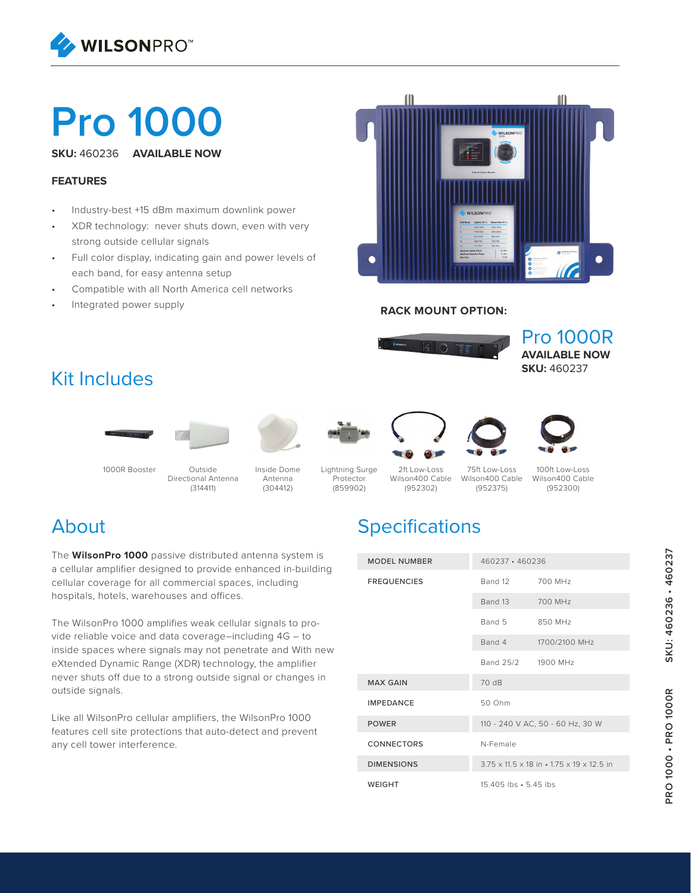

# **Pro 1000**

**SKU:** 460236 **AVAILABLE NOW**

#### **FEATURES**

- Industry-best +15 dBm maximum downlink power
- XDR technology: never shuts down, even with very strong outside cellular signals
- Full color display, indicating gain and power levels of each band, for easy antenna setup
- Compatible with all North America cell networks
- Integrated power supply



#### **RACK MOUNT OPTION:**



#### Kit Includes













(952375)



**AVAILABLE NOW SKU:** 460237

Pro 1000R



1000R Booster

Outside Directional Antenna (314411)

Inside Dome Antenna (304412)

Lightning Surge Protector (859902)

75ft Low-Loss Wilson400 Cable 2ft Low-Loss Wilson400 Cable (952302)

100ft Low-Loss Wilson400 Cable (952300)

#### About

The **WilsonPro 1000** passive distributed antenna system is a cellular amplifier designed to provide enhanced in-building cellular coverage for all commercial spaces, including hospitals, hotels, warehouses and offices.

The WilsonPro 1000 amplifies weak cellular signals to provide reliable voice and data coverage–including 4G – to inside spaces where signals may not penetrate and With new eXtended Dynamic Range (XDR) technology, the amplifier never shuts off due to a strong outside signal or changes in outside signals.

Like all WilsonPro cellular amplifiers, the WilsonPro 1000 features cell site protections that auto-detect and prevent any cell tower interference.

## **Specifications**

| <b>MODEL NUMBER</b> | 460237 · 460236                                                       |               |
|---------------------|-----------------------------------------------------------------------|---------------|
| <b>FREQUENCIES</b>  | Band 12 700 MHz                                                       |               |
|                     | Band 13                                                               | 700 MHz       |
|                     | Band 5                                                                | 850 MHz       |
|                     | Band 4                                                                | 1700/2100 MHz |
|                     | Band 25/2 1900 MHz                                                    |               |
| <b>MAX GAIN</b>     | 70 dB                                                                 |               |
| <b>IMPEDANCE</b>    | 50 Ohm                                                                |               |
| <b>POWER</b>        | 110 - 240 V AC, 50 - 60 Hz, 30 W                                      |               |
| <b>CONNECTORS</b>   | N-Female                                                              |               |
| <b>DIMENSIONS</b>   | $3.75 \times 11.5 \times 18$ in $\cdot 1.75 \times 19 \times 12.5$ in |               |
| <b>WEIGHT</b>       | 15.405 lbs • 5.45 lbs                                                 |               |